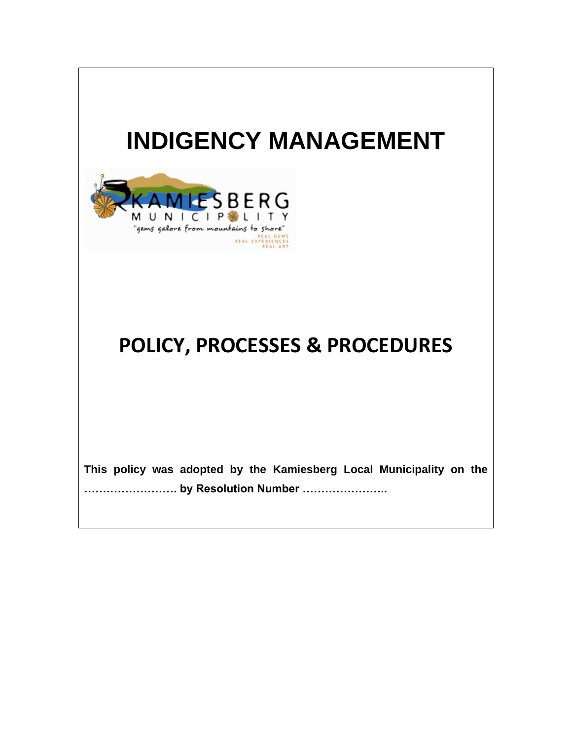# **INDIGENCY MANAGEMENT**



# **POLICY, PROCESSES & PROCEDURES**

**This policy was adopted by the Kamiesberg Local Municipality on the ……………………. by Resolution Number …………………..**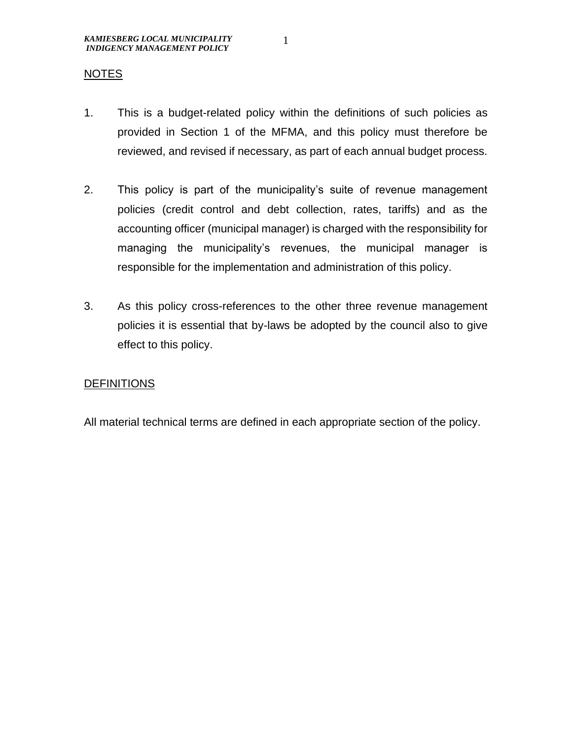#### **NOTES**

- 1. This is a budget-related policy within the definitions of such policies as provided in Section 1 of the MFMA, and this policy must therefore be reviewed, and revised if necessary, as part of each annual budget process.
- 2. This policy is part of the municipality's suite of revenue management policies (credit control and debt collection, rates, tariffs) and as the accounting officer (municipal manager) is charged with the responsibility for managing the municipality's revenues, the municipal manager is responsible for the implementation and administration of this policy.
- 3. As this policy cross-references to the other three revenue management policies it is essential that by-laws be adopted by the council also to give effect to this policy.

#### **DEFINITIONS**

All material technical terms are defined in each appropriate section of the policy.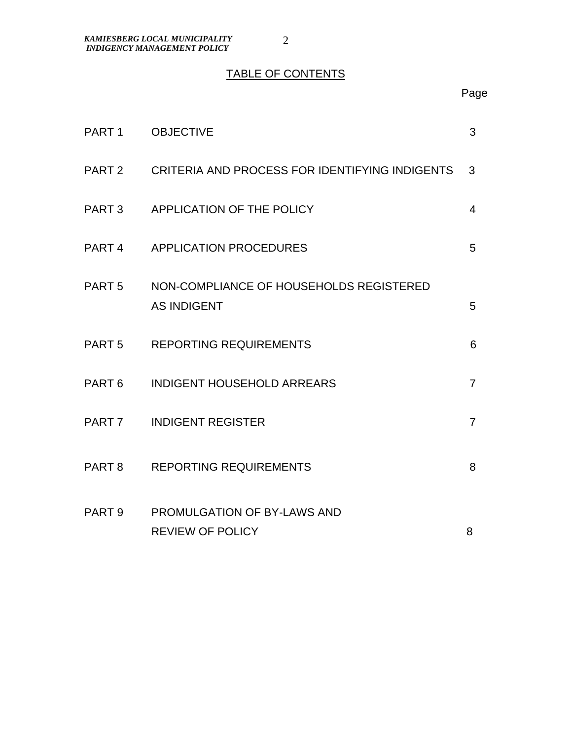TABLE OF CONTENTS

Page

| PART 1 OBJECTIVE                                                     | 3              |
|----------------------------------------------------------------------|----------------|
| PART 2 CRITERIA AND PROCESS FOR IDENTIFYING INDIGENTS                | 3              |
| PART 3 APPLICATION OF THE POLICY                                     | $\overline{4}$ |
| PART 4 APPLICATION PROCEDURES                                        | 5              |
| PART 5 NON-COMPLIANCE OF HOUSEHOLDS REGISTERED<br><b>AS INDIGENT</b> | 5              |
| PART 5 REPORTING REQUIREMENTS                                        | 6              |
| PART 6 INDIGENT HOUSEHOLD ARREARS                                    | $\overline{7}$ |
| <b>PART 7 INDIGENT REGISTER</b>                                      | $\overline{7}$ |
| PART 8 REPORTING REQUIREMENTS                                        | 8              |
| PART 9 PROMULGATION OF BY-LAWS AND<br><b>REVIEW OF POLICY</b>        | 8              |

2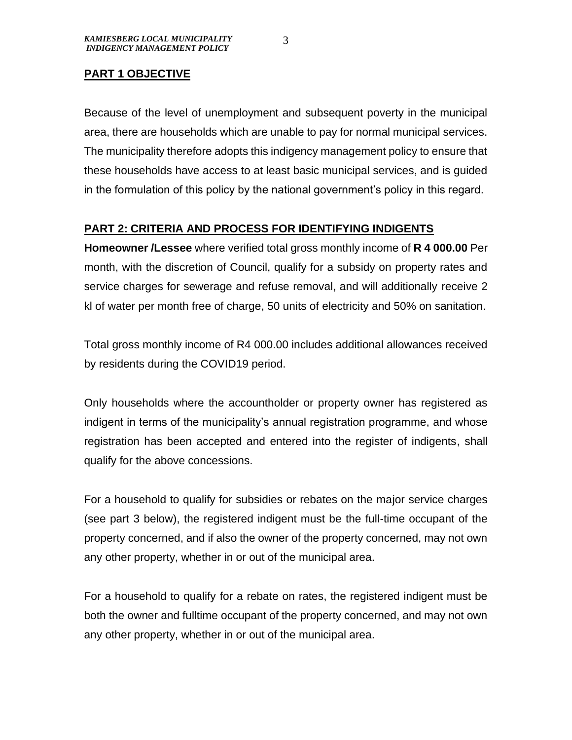#### **PART 1 OBJECTIVE**

Because of the level of unemployment and subsequent poverty in the municipal area, there are households which are unable to pay for normal municipal services. The municipality therefore adopts this indigency management policy to ensure that these households have access to at least basic municipal services, and is guided in the formulation of this policy by the national government's policy in this regard.

#### **PART 2: CRITERIA AND PROCESS FOR IDENTIFYING INDIGENTS**

**Homeowner /Lessee** where verified total gross monthly income of **R 4 000.00** Per month, with the discretion of Council, qualify for a subsidy on property rates and service charges for sewerage and refuse removal, and will additionally receive 2 kl of water per month free of charge, 50 units of electricity and 50% on sanitation.

Total gross monthly income of R4 000.00 includes additional allowances received by residents during the COVID19 period.

Only households where the accountholder or property owner has registered as indigent in terms of the municipality's annual registration programme, and whose registration has been accepted and entered into the register of indigents, shall qualify for the above concessions.

For a household to qualify for subsidies or rebates on the major service charges (see part 3 below), the registered indigent must be the full-time occupant of the property concerned, and if also the owner of the property concerned, may not own any other property, whether in or out of the municipal area.

For a household to qualify for a rebate on rates, the registered indigent must be both the owner and fulltime occupant of the property concerned, and may not own any other property, whether in or out of the municipal area.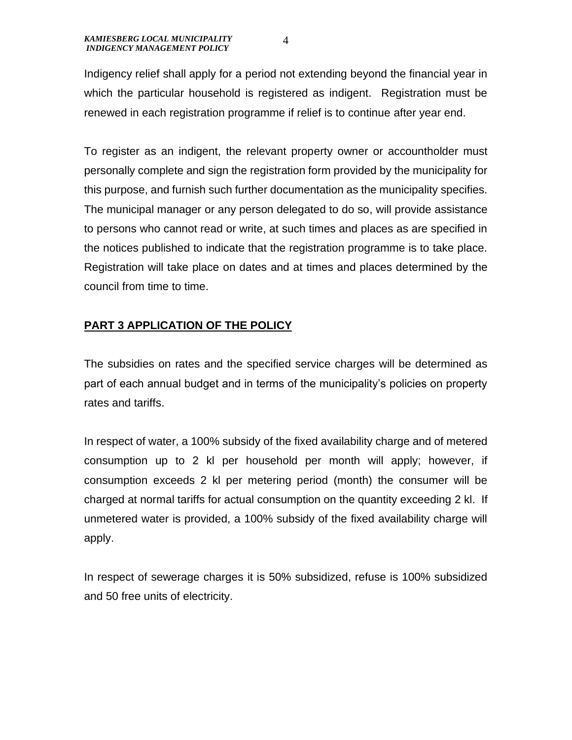4

Indigency relief shall apply for a period not extending beyond the financial year in which the particular household is registered as indigent. Registration must be renewed in each registration programme if relief is to continue after year end.

To register as an indigent, the relevant property owner or accountholder must personally complete and sign the registration form provided by the municipality for this purpose, and furnish such further documentation as the municipality specifies. The municipal manager or any person delegated to do so, will provide assistance to persons who cannot read or write, at such times and places as are specified in the notices published to indicate that the registration programme is to take place. Registration will take place on dates and at times and places determined by the council from time to time.

# **PART 3 APPLICATION OF THE POLICY**

The subsidies on rates and the specified service charges will be determined as part of each annual budget and in terms of the municipality's policies on property rates and tariffs.

In respect of water, a 100% subsidy of the fixed availability charge and of metered consumption up to 2 kl per household per month will apply; however, if consumption exceeds 2 kl per metering period (month) the consumer will be charged at normal tariffs for actual consumption on the quantity exceeding 2 kl. If unmetered water is provided, a 100% subsidy of the fixed availability charge will apply.

In respect of sewerage charges it is 50% subsidized, refuse is 100% subsidized and 50 free units of electricity.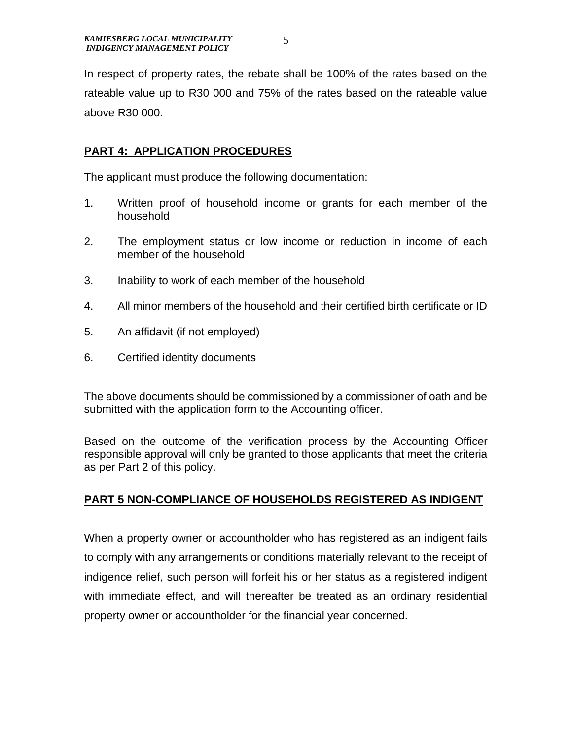In respect of property rates, the rebate shall be 100% of the rates based on the rateable value up to R30 000 and 75% of the rates based on the rateable value above R30 000.

## **PART 4: APPLICATION PROCEDURES**

The applicant must produce the following documentation:

- 1. Written proof of household income or grants for each member of the household
- 2. The employment status or low income or reduction in income of each member of the household
- 3. Inability to work of each member of the household
- 4. All minor members of the household and their certified birth certificate or ID
- 5. An affidavit (if not employed)
- 6. Certified identity documents

The above documents should be commissioned by a commissioner of oath and be submitted with the application form to the Accounting officer.

Based on the outcome of the verification process by the Accounting Officer responsible approval will only be granted to those applicants that meet the criteria as per Part 2 of this policy.

# **PART 5 NON-COMPLIANCE OF HOUSEHOLDS REGISTERED AS INDIGENT**

When a property owner or accountholder who has registered as an indigent fails to comply with any arrangements or conditions materially relevant to the receipt of indigence relief, such person will forfeit his or her status as a registered indigent with immediate effect, and will thereafter be treated as an ordinary residential property owner or accountholder for the financial year concerned.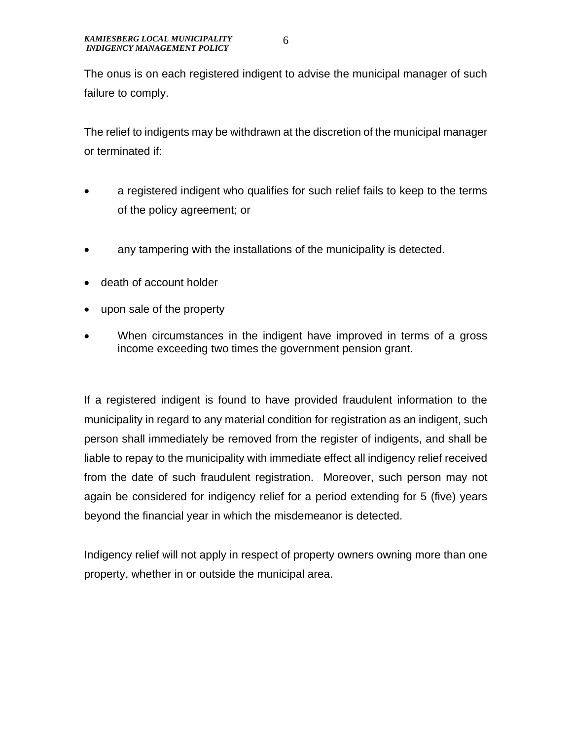The onus is on each registered indigent to advise the municipal manager of such failure to comply.

The relief to indigents may be withdrawn at the discretion of the municipal manager or terminated if:

- a registered indigent who qualifies for such relief fails to keep to the terms of the policy agreement; or
- any tampering with the installations of the municipality is detected.
- death of account holder
- upon sale of the property
- When circumstances in the indigent have improved in terms of a gross income exceeding two times the government pension grant.

If a registered indigent is found to have provided fraudulent information to the municipality in regard to any material condition for registration as an indigent, such person shall immediately be removed from the register of indigents, and shall be liable to repay to the municipality with immediate effect all indigency relief received from the date of such fraudulent registration. Moreover, such person may not again be considered for indigency relief for a period extending for 5 (five) years beyond the financial year in which the misdemeanor is detected.

Indigency relief will not apply in respect of property owners owning more than one property, whether in or outside the municipal area.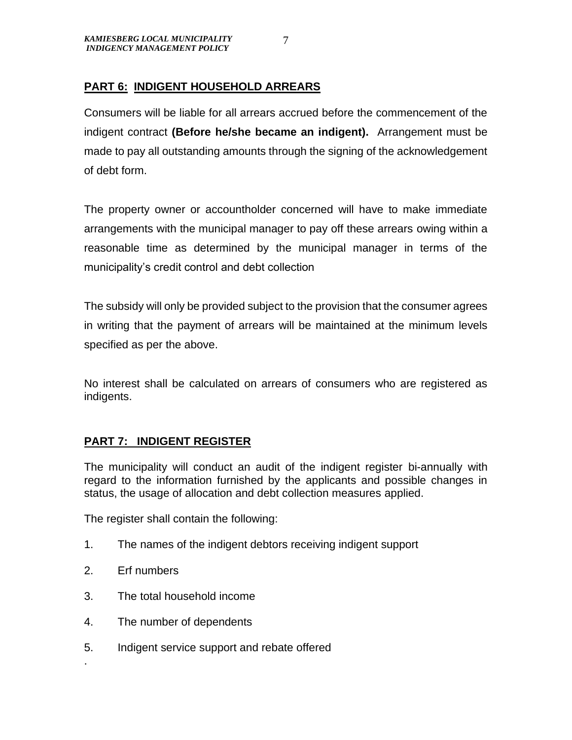## **PART 6: INDIGENT HOUSEHOLD ARREARS**

Consumers will be liable for all arrears accrued before the commencement of the indigent contract **(Before he/she became an indigent).** Arrangement must be made to pay all outstanding amounts through the signing of the acknowledgement of debt form.

The property owner or accountholder concerned will have to make immediate arrangements with the municipal manager to pay off these arrears owing within a reasonable time as determined by the municipal manager in terms of the municipality's credit control and debt collection

The subsidy will only be provided subject to the provision that the consumer agrees in writing that the payment of arrears will be maintained at the minimum levels specified as per the above.

No interest shall be calculated on arrears of consumers who are registered as indigents.

#### **PART 7: INDIGENT REGISTER**

The municipality will conduct an audit of the indigent register bi-annually with regard to the information furnished by the applicants and possible changes in status, the usage of allocation and debt collection measures applied.

The register shall contain the following:

- 1. The names of the indigent debtors receiving indigent support
- 2. Erf numbers

.

- 3. The total household income
- 4. The number of dependents
- 5. Indigent service support and rebate offered